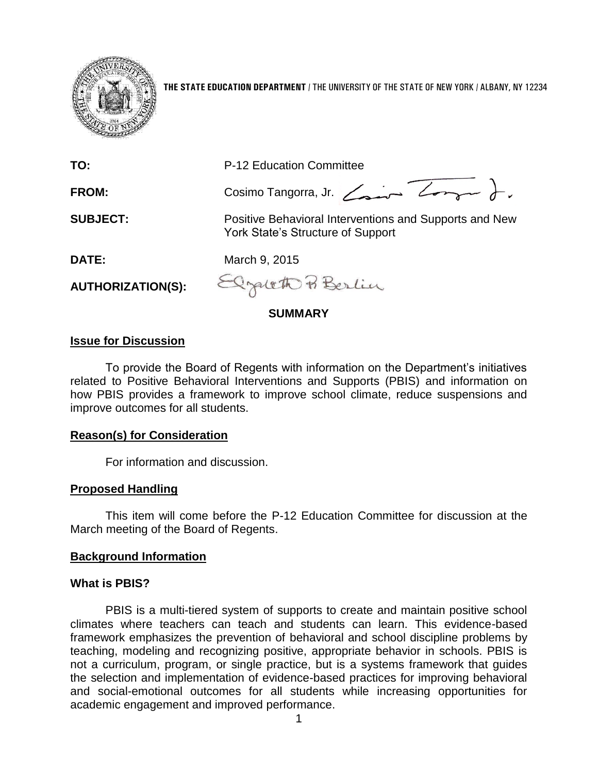

**THE STATE EDUCATION DEPARTMENT** / THE UNIVERSITY OF THE STATE OF NEW YORK / ALBANY, NY 12234

| TO:                      | <b>P-12 Education Committee</b>                                                             |  |
|--------------------------|---------------------------------------------------------------------------------------------|--|
| FROM:                    | Cosimo Tangorra, Jr. Comme Long                                                             |  |
| <b>SUBJECT:</b>          | Positive Behavioral Interventions and Supports and New<br>York State's Structure of Support |  |
| <b>DATE:</b>             | March 9, 2015                                                                               |  |
| <b>AUTHORIZATION(S):</b> | Elgatett Berlin                                                                             |  |
| SUMMARY                  |                                                                                             |  |

# **Issue for Discussion**

To provide the Board of Regents with information on the Department's initiatives related to Positive Behavioral Interventions and Supports (PBIS) and information on how PBIS provides a framework to improve school climate, reduce suspensions and improve outcomes for all students.

#### **Reason(s) for Consideration**

For information and discussion.

#### **Proposed Handling**

This item will come before the P-12 Education Committee for discussion at the March meeting of the Board of Regents.

#### **Background Information**

#### **What is PBIS?**

PBIS is a multi-tiered system of supports to create and maintain positive school climates where teachers can teach and students can learn. This evidence-based framework emphasizes the prevention of behavioral and school discipline problems by teaching, modeling and recognizing positive, appropriate behavior in schools. PBIS is not a curriculum, program, or single practice, but is a systems framework that guides the selection and implementation of evidence-based practices for improving behavioral and social-emotional outcomes for all students while increasing opportunities for academic engagement and improved performance.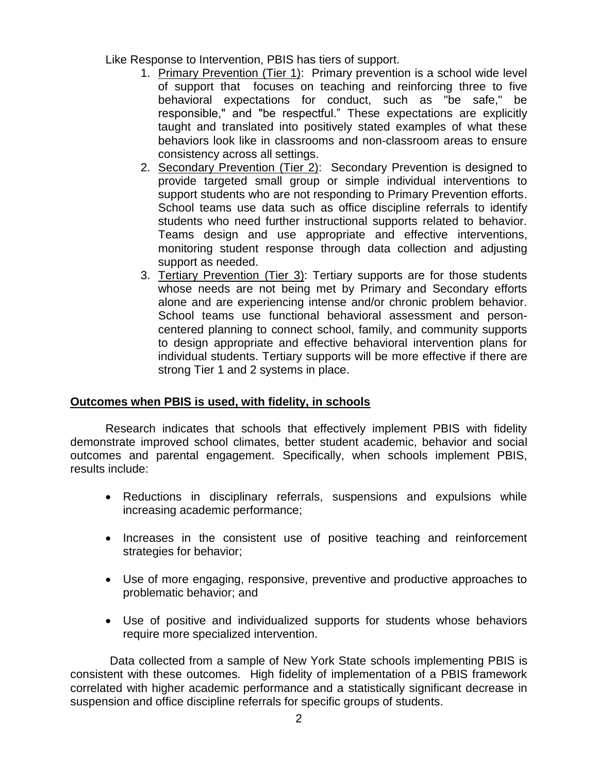Like Response to Intervention, PBIS has tiers of support.

- 1. Primary Prevention (Tier 1): Primary prevention is a school wide level of support that focuses on teaching and reinforcing three to five behavioral expectations for conduct, such as "be safe," be responsible," and "be respectful." These expectations are explicitly taught and translated into positively stated examples of what these behaviors look like in classrooms and non-classroom areas to ensure consistency across all settings.
- 2. Secondary Prevention (Tier 2): Secondary Prevention is designed to provide targeted small group or simple individual interventions to support students who are not responding to Primary Prevention efforts. School teams use data such as office discipline referrals to identify students who need further instructional supports related to behavior. Teams design and use appropriate and effective interventions, monitoring student response through data collection and adjusting support as needed.
- 3. Tertiary Prevention (Tier 3): Tertiary supports are for those students whose needs are not being met by Primary and Secondary efforts alone and are experiencing intense and/or chronic problem behavior. School teams use functional behavioral assessment and personcentered planning to connect school, family, and community supports to design appropriate and effective behavioral intervention plans for individual students. Tertiary supports will be more effective if there are strong Tier 1 and 2 systems in place.

## **Outcomes when PBIS is used, with fidelity, in schools**

Research indicates that schools that effectively implement PBIS with fidelity demonstrate improved school climates, better student academic, behavior and social outcomes and parental engagement. Specifically, when schools implement PBIS, results include:

- Reductions in disciplinary referrals, suspensions and expulsions while increasing academic performance;
- Increases in the consistent use of positive teaching and reinforcement strategies for behavior;
- Use of more engaging, responsive, preventive and productive approaches to problematic behavior; and
- Use of positive and individualized supports for students whose behaviors require more specialized intervention.

Data collected from a sample of New York State schools implementing PBIS is consistent with these outcomes. High fidelity of implementation of a PBIS framework correlated with higher academic performance and a statistically significant decrease in suspension and office discipline referrals for specific groups of students.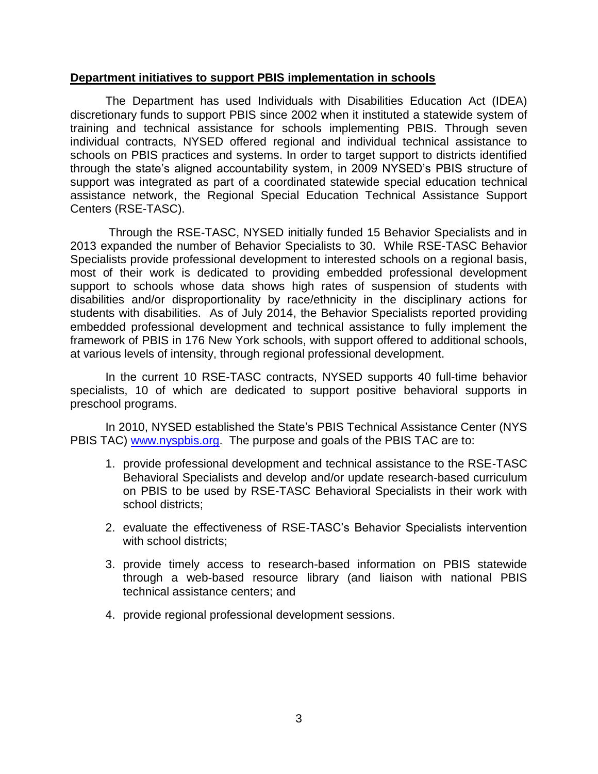#### **Department initiatives to support PBIS implementation in schools**

The Department has used Individuals with Disabilities Education Act (IDEA) discretionary funds to support PBIS since 2002 when it instituted a statewide system of training and technical assistance for schools implementing PBIS. Through seven individual contracts, NYSED offered regional and individual technical assistance to schools on PBIS practices and systems. In order to target support to districts identified through the state's aligned accountability system, in 2009 NYSED's PBIS structure of support was integrated as part of a coordinated statewide special education technical assistance network, the Regional Special Education Technical Assistance Support Centers (RSE-TASC).

Through the RSE-TASC, NYSED initially funded 15 Behavior Specialists and in 2013 expanded the number of Behavior Specialists to 30. While RSE-TASC Behavior Specialists provide professional development to interested schools on a regional basis, most of their work is dedicated to providing embedded professional development support to schools whose data shows high rates of suspension of students with disabilities and/or disproportionality by race/ethnicity in the disciplinary actions for students with disabilities. As of July 2014, the Behavior Specialists reported providing embedded professional development and technical assistance to fully implement the framework of PBIS in 176 New York schools, with support offered to additional schools, at various levels of intensity, through regional professional development.

In the current 10 RSE-TASC contracts, NYSED supports 40 full-time behavior specialists, 10 of which are dedicated to support positive behavioral supports in preschool programs.

In 2010, NYSED established the State's PBIS Technical Assistance Center (NYS PBIS TAC) [www.nyspbis.org.](http://www.nyspbis.org/) The purpose and goals of the PBIS TAC are to:

- 1. provide professional development and technical assistance to the RSE-TASC Behavioral Specialists and develop and/or update research-based curriculum on PBIS to be used by RSE-TASC Behavioral Specialists in their work with school districts;
- 2. evaluate the effectiveness of RSE-TASC's Behavior Specialists intervention with school districts;
- 3. provide timely access to research-based information on PBIS statewide through a web-based resource library (and liaison with national PBIS technical assistance centers; and
- 4. provide regional professional development sessions.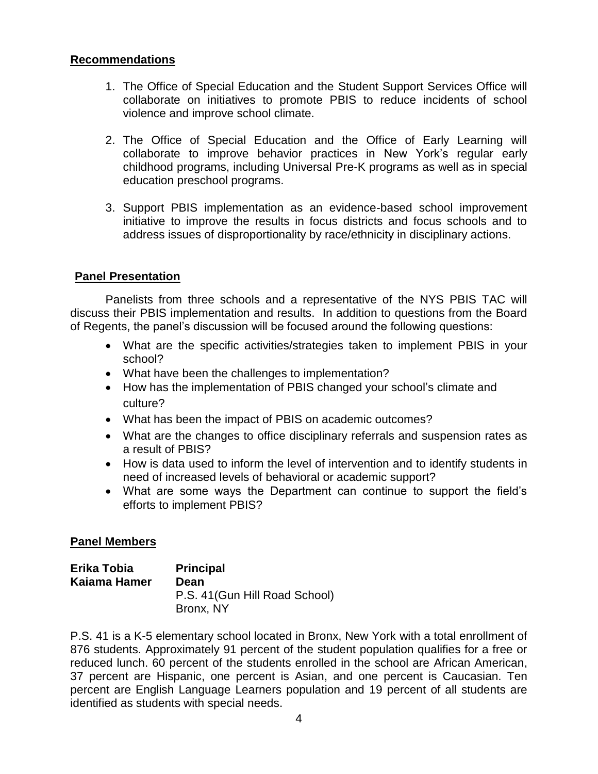## **Recommendations**

- 1. The Office of Special Education and the Student Support Services Office will collaborate on initiatives to promote PBIS to reduce incidents of school violence and improve school climate.
- 2. The Office of Special Education and the Office of Early Learning will collaborate to improve behavior practices in New York's regular early childhood programs, including Universal Pre-K programs as well as in special education preschool programs.
- 3. Support PBIS implementation as an evidence-based school improvement initiative to improve the results in focus districts and focus schools and to address issues of disproportionality by race/ethnicity in disciplinary actions.

# **Panel Presentation**

Panelists from three schools and a representative of the NYS PBIS TAC will discuss their PBIS implementation and results. In addition to questions from the Board of Regents, the panel's discussion will be focused around the following questions:

- What are the specific activities/strategies taken to implement PBIS in your school?
- What have been the challenges to implementation?
- How has the implementation of PBIS changed your school's climate and culture?
- What has been the impact of PBIS on academic outcomes?
- What are the changes to office disciplinary referrals and suspension rates as a result of PBIS?
- How is data used to inform the level of intervention and to identify students in need of increased levels of behavioral or academic support?
- What are some ways the Department can continue to support the field's efforts to implement PBIS?

## **Panel Members**

| Erika Tobia  | <b>Principal</b>               |
|--------------|--------------------------------|
| Kaiama Hamer | Dean                           |
|              | P.S. 41 (Gun Hill Road School) |
|              | Bronx, NY                      |

P.S. 41 is a K-5 elementary school located in Bronx, New York with a total enrollment of 876 students. Approximately 91 percent of the student population qualifies for a free or reduced lunch. 60 percent of the students enrolled in the school are African American, 37 percent are Hispanic, one percent is Asian, and one percent is Caucasian. Ten percent are English Language Learners population and 19 percent of all students are identified as students with special needs.